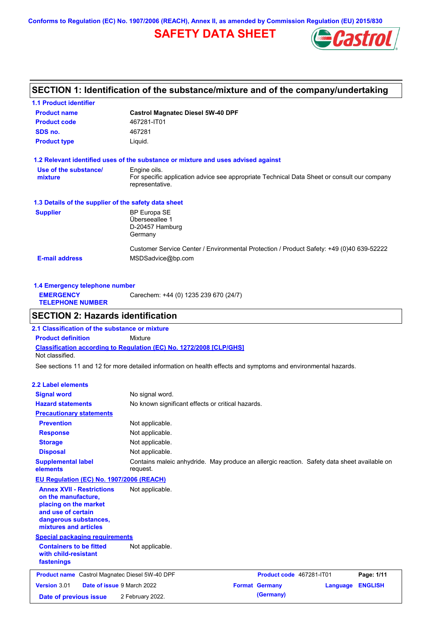**Conforms to Regulation (EC) No. 1907/2006 (REACH), Annex II, as amended by Commission Regulation (EU) 2015/830**

# **SAFETY DATA SHEET**



# **SECTION 1: Identification of the substance/mixture and of the company/undertaking**

| <b>1.1 Product identifier</b>                        |                                                                                                                |
|------------------------------------------------------|----------------------------------------------------------------------------------------------------------------|
| <b>Product name</b>                                  | <b>Castrol Magnatec Diesel 5W-40 DPF</b>                                                                       |
| <b>Product code</b>                                  | 467281-IT01                                                                                                    |
| SDS no.                                              | 467281                                                                                                         |
| <b>Product type</b>                                  | Liquid.                                                                                                        |
|                                                      | 1.2 Relevant identified uses of the substance or mixture and uses advised against                              |
| Use of the substance/                                | Engine oils.                                                                                                   |
| mixture                                              | For specific application advice see appropriate Technical Data Sheet or consult our company<br>representative. |
| 1.3 Details of the supplier of the safety data sheet |                                                                                                                |
| <b>Supplier</b>                                      | <b>BP Europa SE</b>                                                                                            |
|                                                      | Überseeallee 1                                                                                                 |
|                                                      | D-20457 Hamburg                                                                                                |
|                                                      | Germany                                                                                                        |
|                                                      | Customer Service Center / Environmental Protection / Product Safety: +49 (0)40 639-52222                       |
| <b>E-mail address</b>                                | MSDSadvice@bp.com                                                                                              |
|                                                      |                                                                                                                |

|                                             | 1.4 Emergency telephone number        |  |  |  |  |
|---------------------------------------------|---------------------------------------|--|--|--|--|
| <b>EMERGENCY</b><br><b>TELEPHONE NUMBER</b> | Carechem: +44 (0) 1235 239 670 (24/7) |  |  |  |  |

## **SECTION 2: Hazards identification**

**Classification according to Regulation (EC) No. 1272/2008 [CLP/GHS] 2.1 Classification of the substance or mixture Product definition** Mixture Not classified.

See sections 11 and 12 for more detailed information on health effects and symptoms and environmental hazards.

### **2.2 Label elements**

| <b>Signal word</b><br><b>Hazard statements</b>                                                                                                           | No signal word.<br>No known significant effects or critical hazards.                                    |                          |          |                |
|----------------------------------------------------------------------------------------------------------------------------------------------------------|---------------------------------------------------------------------------------------------------------|--------------------------|----------|----------------|
| <b>Precautionary statements</b>                                                                                                                          |                                                                                                         |                          |          |                |
| <b>Prevention</b>                                                                                                                                        | Not applicable.                                                                                         |                          |          |                |
| <b>Response</b>                                                                                                                                          | Not applicable.                                                                                         |                          |          |                |
| <b>Storage</b>                                                                                                                                           | Not applicable.                                                                                         |                          |          |                |
| <b>Disposal</b>                                                                                                                                          | Not applicable.                                                                                         |                          |          |                |
| <b>Supplemental label</b><br>elements                                                                                                                    | Contains maleic anhydride. May produce an allergic reaction. Safety data sheet available on<br>request. |                          |          |                |
| EU Regulation (EC) No. 1907/2006 (REACH)                                                                                                                 |                                                                                                         |                          |          |                |
| <b>Annex XVII - Restrictions</b><br>on the manufacture,<br>placing on the market<br>and use of certain<br>dangerous substances,<br>mixtures and articles | Not applicable.                                                                                         |                          |          |                |
| <b>Special packaging requirements</b>                                                                                                                    |                                                                                                         |                          |          |                |
| <b>Containers to be fitted</b><br>with child-resistant<br>fastenings                                                                                     | Not applicable.                                                                                         |                          |          |                |
| <b>Product name</b> Castrol Magnatec Diesel 5W-40 DPF                                                                                                    |                                                                                                         | Product code 467281-IT01 |          | Page: 1/11     |
| Version 3.01<br>Date of issue 9 March 2022                                                                                                               |                                                                                                         | <b>Format Germany</b>    | Language | <b>ENGLISH</b> |
| Date of previous issue                                                                                                                                   | 2 February 2022.                                                                                        | (Germany)                |          |                |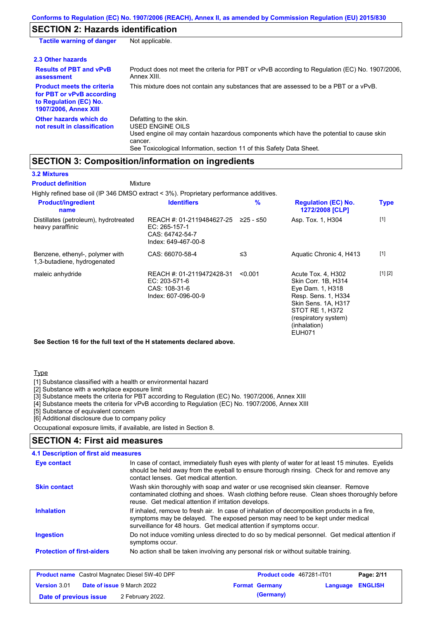# **SECTION 2: Hazards identification**

| <b>Tactile warning of danger</b>                                                                                         | Not applicable.                                                                                                                                                                                                          |
|--------------------------------------------------------------------------------------------------------------------------|--------------------------------------------------------------------------------------------------------------------------------------------------------------------------------------------------------------------------|
| 2.3 Other hazards                                                                                                        |                                                                                                                                                                                                                          |
| <b>Results of PBT and vPvB</b><br>assessment                                                                             | Product does not meet the criteria for PBT or vPvB according to Regulation (EC) No. 1907/2006,<br>Annex XIII.                                                                                                            |
| <b>Product meets the criteria</b><br>for PBT or vPvB according<br>to Regulation (EC) No.<br><b>1907/2006, Annex XIII</b> | This mixture does not contain any substances that are assessed to be a PBT or a vPvB.                                                                                                                                    |
| Other hazards which do<br>not result in classification                                                                   | Defatting to the skin.<br>USED ENGINE OILS<br>Used engine oil may contain hazardous components which have the potential to cause skin<br>cancer.<br>See Toxicological Information, section 11 of this Safety Data Sheet. |

## **SECTION 3: Composition/information on ingredients**

**Mixture** 

### **3.2 Mixtures**

**Product definition**

Highly refined base oil (IP 346 DMSO extract < 3%). Proprietary performance additives.

| <b>Product/ingredient</b><br>name                              | <b>Identifiers</b>                                                                   | %           | <b>Regulation (EC) No.</b><br>1272/2008 [CLP]                                                                                                                                           | <b>Type</b> |
|----------------------------------------------------------------|--------------------------------------------------------------------------------------|-------------|-----------------------------------------------------------------------------------------------------------------------------------------------------------------------------------------|-------------|
| Distillates (petroleum), hydrotreated<br>heavy paraffinic      | REACH #: 01-2119484627-25<br>EC: 265-157-1<br>CAS: 64742-54-7<br>Index: 649-467-00-8 | $≥25 - ≤50$ | Asp. Tox. 1, H304                                                                                                                                                                       | $[1]$       |
| Benzene, ethenyl-, polymer with<br>1,3-butadiene, hydrogenated | CAS: 66070-58-4                                                                      | ≤3          | Aquatic Chronic 4, H413                                                                                                                                                                 | $[1]$       |
| maleic anhydride                                               | REACH #: 01-2119472428-31<br>EC: 203-571-6<br>CAS: 108-31-6<br>Index: 607-096-00-9   | < 0.001     | Acute Tox. 4, H302<br>Skin Corr. 1B, H314<br>Eye Dam. 1, H318<br>Resp. Sens. 1, H334<br>Skin Sens. 1A, H317<br>STOT RE 1, H372<br>(respiratory system)<br>(inhalation)<br><b>EUH071</b> | [1] [2]     |

**See Section 16 for the full text of the H statements declared above.**

### **Type**

[1] Substance classified with a health or environmental hazard

[2] Substance with a workplace exposure limit

[3] Substance meets the criteria for PBT according to Regulation (EC) No. 1907/2006, Annex XIII

[4] Substance meets the criteria for vPvB according to Regulation (EC) No. 1907/2006, Annex XIII

[5] Substance of equivalent concern

[6] Additional disclosure due to company policy

Occupational exposure limits, if available, are listed in Section 8.

### **SECTION 4: First aid measures**

| <b>4.1 Description of first aid measures</b> |                                                                                                                                                                                                                                                     |
|----------------------------------------------|-----------------------------------------------------------------------------------------------------------------------------------------------------------------------------------------------------------------------------------------------------|
| Eye contact                                  | In case of contact, immediately flush eyes with plenty of water for at least 15 minutes. Eyelids<br>should be held away from the eyeball to ensure thorough rinsing. Check for and remove any<br>contact lenses. Get medical attention.             |
| <b>Skin contact</b>                          | Wash skin thoroughly with soap and water or use recognised skin cleanser. Remove<br>contaminated clothing and shoes. Wash clothing before reuse. Clean shoes thoroughly before<br>reuse. Get medical attention if irritation develops.              |
| <b>Inhalation</b>                            | If inhaled, remove to fresh air. In case of inhalation of decomposition products in a fire,<br>symptoms may be delayed. The exposed person may need to be kept under medical<br>surveillance for 48 hours. Get medical attention if symptoms occur. |
| <b>Ingestion</b>                             | Do not induce vomiting unless directed to do so by medical personnel. Get medical attention if<br>symptoms occur.                                                                                                                                   |
| <b>Protection of first-aiders</b>            | No action shall be taken involving any personal risk or without suitable training.                                                                                                                                                                  |

| <b>Product name</b> Castrol Magnatec Diesel 5W-40 DPF    |  | Product code 467281-IT01 |                       | Page: 2/11              |  |  |
|----------------------------------------------------------|--|--------------------------|-----------------------|-------------------------|--|--|
| <b>Date of issue 9 March 2022</b><br><b>Version 3.01</b> |  |                          | <b>Format Germany</b> | <b>Language ENGLISH</b> |  |  |
| Date of previous issue                                   |  | 2 February 2022.         |                       | (Germany)               |  |  |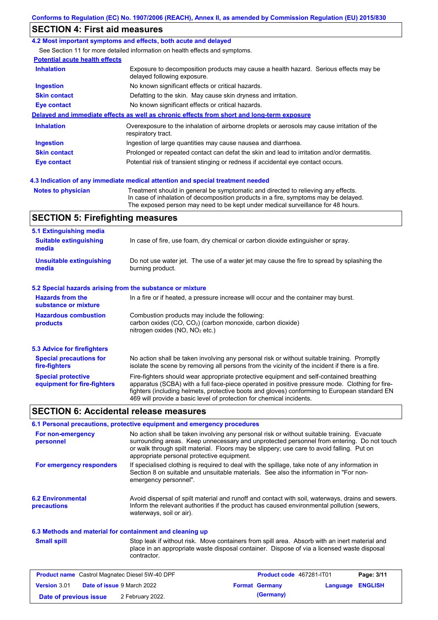## **SECTION 4: First aid measures**

### **4.2 Most important symptoms and effects, both acute and delayed**

See Section 11 for more detailed information on health effects and symptoms.

### **Potential acute health effects**

| <b>Inhalation</b>   | Exposure to decomposition products may cause a health hazard. Serious effects may be<br>delayed following exposure. |
|---------------------|---------------------------------------------------------------------------------------------------------------------|
| <b>Ingestion</b>    | No known significant effects or critical hazards.                                                                   |
| <b>Skin contact</b> | Defatting to the skin. May cause skin dryness and irritation.                                                       |
| Eye contact         | No known significant effects or critical hazards.                                                                   |
|                     | Delayed and immediate effects as well as chronic effects from short and long-term exposure                          |
| <b>Inhalation</b>   | Overexposure to the inhalation of airborne droplets or aerosols may cause irritation of the<br>respiratory tract.   |
| <b>Ingestion</b>    | Ingestion of large quantities may cause nausea and diarrhoea.                                                       |
| <b>Skin contact</b> | Prolonged or repeated contact can defat the skin and lead to irritation and/or dermatitis.                          |
| Eye contact         | Potential risk of transient stinging or redness if accidental eye contact occurs.                                   |
|                     | 4.3 Indication of any immediate medical attention and special treatment needed                                      |

**Notes to physician** Treatment should in general be symptomatic and directed to relieving any effects. In case of inhalation of decomposition products in a fire, symptoms may be delayed. The exposed person may need to be kept under medical surveillance for 48 hours.

## **SECTION 5: Firefighting measures**

| 5.1 Extinguishing media                                   |                                                                                                                                                                                                                                                                                                                                                                   |
|-----------------------------------------------------------|-------------------------------------------------------------------------------------------------------------------------------------------------------------------------------------------------------------------------------------------------------------------------------------------------------------------------------------------------------------------|
| <b>Suitable extinguishing</b><br>media                    | In case of fire, use foam, dry chemical or carbon dioxide extinguisher or spray.                                                                                                                                                                                                                                                                                  |
| <b>Unsuitable extinguishing</b><br>media                  | Do not use water jet. The use of a water jet may cause the fire to spread by splashing the<br>burning product.                                                                                                                                                                                                                                                    |
| 5.2 Special hazards arising from the substance or mixture |                                                                                                                                                                                                                                                                                                                                                                   |
| <b>Hazards from the</b><br>substance or mixture           | In a fire or if heated, a pressure increase will occur and the container may burst.                                                                                                                                                                                                                                                                               |
| <b>Hazardous combustion</b><br>products                   | Combustion products may include the following:<br>carbon oxides (CO, CO <sub>2</sub> ) (carbon monoxide, carbon dioxide)<br>nitrogen oxides (NO, NO <sub>2</sub> etc.)                                                                                                                                                                                            |
| 5.3 Advice for firefighters                               |                                                                                                                                                                                                                                                                                                                                                                   |
| <b>Special precautions for</b><br>fire-fighters           | No action shall be taken involving any personal risk or without suitable training. Promptly<br>isolate the scene by removing all persons from the vicinity of the incident if there is a fire.                                                                                                                                                                    |
| <b>Special protective</b><br>equipment for fire-fighters  | Fire-fighters should wear appropriate protective equipment and self-contained breathing<br>apparatus (SCBA) with a full face-piece operated in positive pressure mode. Clothing for fire-<br>fighters (including helmets, protective boots and gloves) conforming to European standard EN<br>469 will provide a basic level of protection for chemical incidents. |

### **SECTION 6: Accidental release measures**

|                                         | 6.1 Personal precautions, protective equipment and emergency procedures                                                                                                                                                                                                                                                             |
|-----------------------------------------|-------------------------------------------------------------------------------------------------------------------------------------------------------------------------------------------------------------------------------------------------------------------------------------------------------------------------------------|
| For non-emergency<br>personnel          | No action shall be taken involving any personal risk or without suitable training. Evacuate<br>surrounding areas. Keep unnecessary and unprotected personnel from entering. Do not touch<br>or walk through spilt material. Floors may be slippery; use care to avoid falling. Put on<br>appropriate personal protective equipment. |
| For emergency responders                | If specialised clothing is required to deal with the spillage, take note of any information in<br>Section 8 on suitable and unsuitable materials. See also the information in "For non-<br>emergency personnel".                                                                                                                    |
| <b>6.2 Environmental</b><br>precautions | Avoid dispersal of spilt material and runoff and contact with soil, waterways, drains and sewers.<br>Inform the relevant authorities if the product has caused environmental pollution (sewers,<br>waterways, soil or air).                                                                                                         |

### **6.3 Methods and material for containment and cleaning up**

| <b>Small spill</b> |  |
|--------------------|--|
|                    |  |

Stop leak if without risk. Move containers from spill area. Absorb with an inert material and place in an appropriate waste disposal container. Dispose of via a licensed waste disposal contractor.

| <b>Product name</b> Castrol Magnatec Diesel 5W-40 DPF    |  | Product code 467281-IT01 |                       | Page: 3/11       |  |  |
|----------------------------------------------------------|--|--------------------------|-----------------------|------------------|--|--|
| <b>Version 3.01</b><br><b>Date of issue 9 March 2022</b> |  |                          | <b>Format Germany</b> | Language ENGLISH |  |  |
| Date of previous issue                                   |  | 2 February 2022.         |                       | (Germany)        |  |  |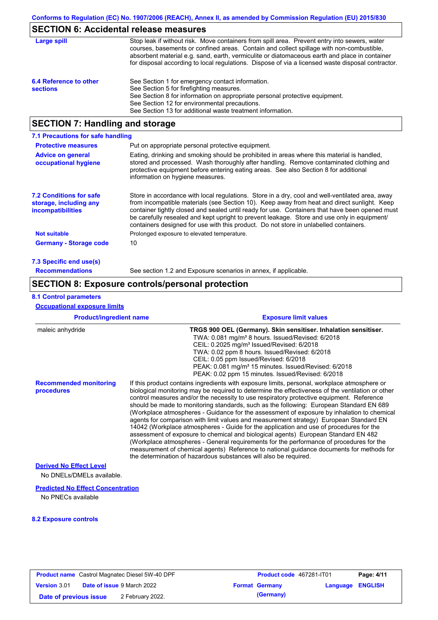# **SECTION 6: Accidental release measures**

| Large spill                               | Stop leak if without risk. Move containers from spill area. Prevent entry into sewers, water<br>courses, basements or confined areas. Contain and collect spillage with non-combustible,<br>absorbent material e.g. sand, earth, vermiculite or diatomaceous earth and place in container<br>for disposal according to local regulations. Dispose of via a licensed waste disposal contractor. |
|-------------------------------------------|------------------------------------------------------------------------------------------------------------------------------------------------------------------------------------------------------------------------------------------------------------------------------------------------------------------------------------------------------------------------------------------------|
| 6.4 Reference to other<br><b>sections</b> | See Section 1 for emergency contact information.<br>See Section 5 for firefighting measures.<br>See Section 8 for information on appropriate personal protective equipment.<br>See Section 12 for environmental precautions.<br>See Section 13 for additional waste treatment information.                                                                                                     |

# **SECTION 7: Handling and storage**

| 7.1 Precautions for safe handling                                                    |                                                                                                                                                                                                                                                                                                                                                                                                                                                                                          |  |  |  |  |  |
|--------------------------------------------------------------------------------------|------------------------------------------------------------------------------------------------------------------------------------------------------------------------------------------------------------------------------------------------------------------------------------------------------------------------------------------------------------------------------------------------------------------------------------------------------------------------------------------|--|--|--|--|--|
| <b>Protective measures</b>                                                           | Put on appropriate personal protective equipment.                                                                                                                                                                                                                                                                                                                                                                                                                                        |  |  |  |  |  |
| <b>Advice on general</b><br>occupational hygiene                                     | Eating, drinking and smoking should be prohibited in areas where this material is handled,<br>stored and processed. Wash thoroughly after handling. Remove contaminated clothing and<br>protective equipment before entering eating areas. See also Section 8 for additional<br>information on hygiene measures.                                                                                                                                                                         |  |  |  |  |  |
| <b>7.2 Conditions for safe</b><br>storage, including any<br><i>incompatibilities</i> | Store in accordance with local requlations. Store in a dry, cool and well-ventilated area, away<br>from incompatible materials (see Section 10). Keep away from heat and direct sunlight. Keep<br>container tightly closed and sealed until ready for use. Containers that have been opened must<br>be carefully resealed and kept upright to prevent leakage. Store and use only in equipment/<br>containers designed for use with this product. Do not store in unlabelled containers. |  |  |  |  |  |
| Not suitable                                                                         | Prolonged exposure to elevated temperature.                                                                                                                                                                                                                                                                                                                                                                                                                                              |  |  |  |  |  |
| <b>Germany - Storage code</b>                                                        | 10                                                                                                                                                                                                                                                                                                                                                                                                                                                                                       |  |  |  |  |  |
| 7.3 Specific end use(s)                                                              |                                                                                                                                                                                                                                                                                                                                                                                                                                                                                          |  |  |  |  |  |
| <b>Recommendations</b>                                                               | See section 1.2 and Exposure scenarios in annex, if applicable.                                                                                                                                                                                                                                                                                                                                                                                                                          |  |  |  |  |  |

### **SECTION 8: Exposure controls/personal protection**

### **8.1 Control parameters**

**Occupational exposure limits**

| <b>Product/ingredient name</b>                              | <b>Exposure limit values</b>                                                                                                                                                                                                                                                                                                                                                                                                                                                                                                                                                                                                                                                                                                                                                                                                                                                                                                                                                                                               |
|-------------------------------------------------------------|----------------------------------------------------------------------------------------------------------------------------------------------------------------------------------------------------------------------------------------------------------------------------------------------------------------------------------------------------------------------------------------------------------------------------------------------------------------------------------------------------------------------------------------------------------------------------------------------------------------------------------------------------------------------------------------------------------------------------------------------------------------------------------------------------------------------------------------------------------------------------------------------------------------------------------------------------------------------------------------------------------------------------|
| maleic anhydride                                            | TRGS 900 OEL (Germany). Skin sensitiser. Inhalation sensitiser.<br>TWA: 0.081 mg/m <sup>3</sup> 8 hours. Issued/Revised: 6/2018<br>CEIL: 0.2025 mg/m <sup>3</sup> Issued/Revised: 6/2018<br>TWA: 0.02 ppm 8 hours. Issued/Revised: 6/2018<br>CEIL: 0.05 ppm Issued/Revised: 6/2018<br>PEAK: 0.081 mg/m <sup>3</sup> 15 minutes. Issued/Revised: 6/2018<br>PEAK: 0.02 ppm 15 minutes. Issued/Revised: 6/2018                                                                                                                                                                                                                                                                                                                                                                                                                                                                                                                                                                                                                |
| <b>Recommended monitoring</b><br>procedures                 | If this product contains ingredients with exposure limits, personal, workplace atmosphere or<br>biological monitoring may be required to determine the effectiveness of the ventilation or other<br>control measures and/or the necessity to use respiratory protective equipment. Reference<br>should be made to monitoring standards, such as the following: European Standard EN 689<br>(Workplace atmospheres - Guidance for the assessment of exposure by inhalation to chemical<br>agents for comparison with limit values and measurement strategy) European Standard EN<br>14042 (Workplace atmospheres - Guide for the application and use of procedures for the<br>assessment of exposure to chemical and biological agents) European Standard EN 482<br>(Workplace atmospheres - General requirements for the performance of procedures for the<br>measurement of chemical agents) Reference to national guidance documents for methods for<br>the determination of hazardous substances will also be required. |
| <b>Derived No Effect Level</b><br>No DNELs/DMELs available. |                                                                                                                                                                                                                                                                                                                                                                                                                                                                                                                                                                                                                                                                                                                                                                                                                                                                                                                                                                                                                            |

### **Predicted No Effect Concentration**

No PNECs available

### **8.2 Exposure controls**

| <b>Product name</b> Castrol Magnatec Diesel 5W-40 DPF |  | <b>Product code</b> 467281-IT01   |                       | Page: 4/11              |  |
|-------------------------------------------------------|--|-----------------------------------|-----------------------|-------------------------|--|
| <b>Version 3.01</b>                                   |  | <b>Date of issue 9 March 2022</b> | <b>Format Germany</b> | <b>Language ENGLISH</b> |  |
| Date of previous issue                                |  | 2 February 2022.                  | (Germany)             |                         |  |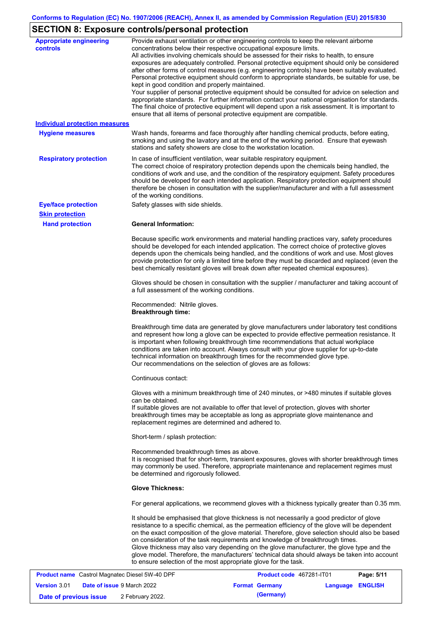# **SECTION 8: Exposure controls/personal protection**

| <b>Appropriate engineering</b><br><b>controls</b> | Provide exhaust ventilation or other engineering controls to keep the relevant airborne<br>concentrations below their respective occupational exposure limits.<br>All activities involving chemicals should be assessed for their risks to health, to ensure<br>exposures are adequately controlled. Personal protective equipment should only be considered<br>after other forms of control measures (e.g. engineering controls) have been suitably evaluated.<br>Personal protective equipment should conform to appropriate standards, be suitable for use, be<br>kept in good condition and properly maintained.<br>Your supplier of personal protective equipment should be consulted for advice on selection and<br>appropriate standards. For further information contact your national organisation for standards.<br>The final choice of protective equipment will depend upon a risk assessment. It is important to<br>ensure that all items of personal protective equipment are compatible. |
|---------------------------------------------------|---------------------------------------------------------------------------------------------------------------------------------------------------------------------------------------------------------------------------------------------------------------------------------------------------------------------------------------------------------------------------------------------------------------------------------------------------------------------------------------------------------------------------------------------------------------------------------------------------------------------------------------------------------------------------------------------------------------------------------------------------------------------------------------------------------------------------------------------------------------------------------------------------------------------------------------------------------------------------------------------------------|
| <b>Individual protection measures</b>             |                                                                                                                                                                                                                                                                                                                                                                                                                                                                                                                                                                                                                                                                                                                                                                                                                                                                                                                                                                                                         |
| <b>Hygiene measures</b>                           | Wash hands, forearms and face thoroughly after handling chemical products, before eating,<br>smoking and using the lavatory and at the end of the working period. Ensure that eyewash<br>stations and safety showers are close to the workstation location.                                                                                                                                                                                                                                                                                                                                                                                                                                                                                                                                                                                                                                                                                                                                             |
| <b>Respiratory protection</b>                     | In case of insufficient ventilation, wear suitable respiratory equipment.<br>The correct choice of respiratory protection depends upon the chemicals being handled, the<br>conditions of work and use, and the condition of the respiratory equipment. Safety procedures<br>should be developed for each intended application. Respiratory protection equipment should<br>therefore be chosen in consultation with the supplier/manufacturer and with a full assessment<br>of the working conditions.                                                                                                                                                                                                                                                                                                                                                                                                                                                                                                   |
| <b>Eye/face protection</b>                        | Safety glasses with side shields.                                                                                                                                                                                                                                                                                                                                                                                                                                                                                                                                                                                                                                                                                                                                                                                                                                                                                                                                                                       |
| <b>Skin protection</b>                            |                                                                                                                                                                                                                                                                                                                                                                                                                                                                                                                                                                                                                                                                                                                                                                                                                                                                                                                                                                                                         |
| <b>Hand protection</b>                            | <b>General Information:</b>                                                                                                                                                                                                                                                                                                                                                                                                                                                                                                                                                                                                                                                                                                                                                                                                                                                                                                                                                                             |
|                                                   | Because specific work environments and material handling practices vary, safety procedures<br>should be developed for each intended application. The correct choice of protective gloves<br>depends upon the chemicals being handled, and the conditions of work and use. Most gloves<br>provide protection for only a limited time before they must be discarded and replaced (even the<br>best chemically resistant gloves will break down after repeated chemical exposures).                                                                                                                                                                                                                                                                                                                                                                                                                                                                                                                        |
|                                                   | Gloves should be chosen in consultation with the supplier / manufacturer and taking account of<br>a full assessment of the working conditions.                                                                                                                                                                                                                                                                                                                                                                                                                                                                                                                                                                                                                                                                                                                                                                                                                                                          |
|                                                   | Recommended: Nitrile gloves.<br><b>Breakthrough time:</b>                                                                                                                                                                                                                                                                                                                                                                                                                                                                                                                                                                                                                                                                                                                                                                                                                                                                                                                                               |
|                                                   | Breakthrough time data are generated by glove manufacturers under laboratory test conditions<br>and represent how long a glove can be expected to provide effective permeation resistance. It<br>is important when following breakthrough time recommendations that actual workplace<br>conditions are taken into account. Always consult with your glove supplier for up-to-date<br>technical information on breakthrough times for the recommended glove type.<br>Our recommendations on the selection of gloves are as follows:                                                                                                                                                                                                                                                                                                                                                                                                                                                                      |
|                                                   | Continuous contact:                                                                                                                                                                                                                                                                                                                                                                                                                                                                                                                                                                                                                                                                                                                                                                                                                                                                                                                                                                                     |
|                                                   | Gloves with a minimum breakthrough time of 240 minutes, or >480 minutes if suitable gloves<br>can be obtained.<br>If suitable gloves are not available to offer that level of protection, gloves with shorter<br>breakthrough times may be acceptable as long as appropriate glove maintenance and<br>replacement regimes are determined and adhered to.                                                                                                                                                                                                                                                                                                                                                                                                                                                                                                                                                                                                                                                |
|                                                   | Short-term / splash protection:                                                                                                                                                                                                                                                                                                                                                                                                                                                                                                                                                                                                                                                                                                                                                                                                                                                                                                                                                                         |
|                                                   | Recommended breakthrough times as above.<br>It is recognised that for short-term, transient exposures, gloves with shorter breakthrough times<br>may commonly be used. Therefore, appropriate maintenance and replacement regimes must<br>be determined and rigorously followed.                                                                                                                                                                                                                                                                                                                                                                                                                                                                                                                                                                                                                                                                                                                        |
|                                                   | <b>Glove Thickness:</b>                                                                                                                                                                                                                                                                                                                                                                                                                                                                                                                                                                                                                                                                                                                                                                                                                                                                                                                                                                                 |
|                                                   | For general applications, we recommend gloves with a thickness typically greater than 0.35 mm.                                                                                                                                                                                                                                                                                                                                                                                                                                                                                                                                                                                                                                                                                                                                                                                                                                                                                                          |
|                                                   | It should be emphasised that glove thickness is not necessarily a good predictor of glove<br>resistance to a specific chemical, as the permeation efficiency of the glove will be dependent<br>on the exact composition of the glove material. Therefore, glove selection should also be based<br>on consideration of the task requirements and knowledge of breakthrough times.<br>Glove thickness may also vary depending on the glove manufacturer, the glove type and the<br>glove model. Therefore, the manufacturers' technical data should always be taken into account<br>to ensure selection of the most appropriate glove for the task.                                                                                                                                                                                                                                                                                                                                                       |
|                                                   | <b>Dogo: 5/44</b><br>Mognatos Diosol 514/ 40 DDE<br>$AC7004$ $IT04$                                                                                                                                                                                                                                                                                                                                                                                                                                                                                                                                                                                                                                                                                                                                                                                                                                                                                                                                     |

|                        | <b>Product name</b> Castrol Magnatec Diesel 5W-40 DPF | Product code 467281-IT01 |                  | Page: 5/11 |
|------------------------|-------------------------------------------------------|--------------------------|------------------|------------|
| <b>Version 3.01</b>    | <b>Date of issue 9 March 2022</b>                     | <b>Format Germany</b>    | Language ENGLISH |            |
| Date of previous issue | 2 February 2022.                                      | (Germany)                |                  |            |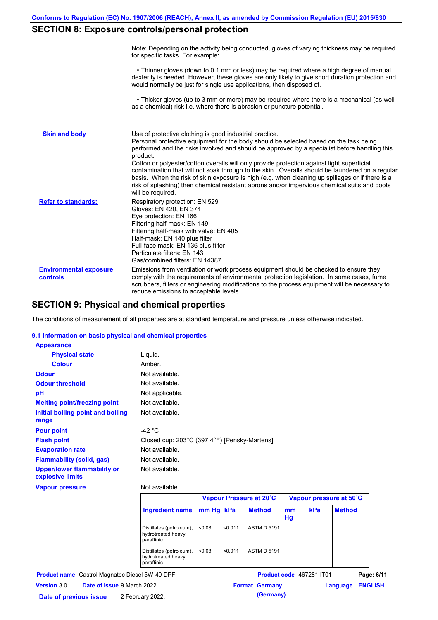# **SECTION 8: Exposure controls/personal protection**

|                                           | Note: Depending on the activity being conducted, gloves of varying thickness may be required<br>for specific tasks. For example:                                                                                                                                                                                                                                                                                                                                                                                                                                                                                                                                                      |
|-------------------------------------------|---------------------------------------------------------------------------------------------------------------------------------------------------------------------------------------------------------------------------------------------------------------------------------------------------------------------------------------------------------------------------------------------------------------------------------------------------------------------------------------------------------------------------------------------------------------------------------------------------------------------------------------------------------------------------------------|
|                                           | • Thinner gloves (down to 0.1 mm or less) may be required where a high degree of manual<br>dexterity is needed. However, these gloves are only likely to give short duration protection and<br>would normally be just for single use applications, then disposed of.                                                                                                                                                                                                                                                                                                                                                                                                                  |
|                                           | • Thicker gloves (up to 3 mm or more) may be required where there is a mechanical (as well<br>as a chemical) risk i.e. where there is abrasion or puncture potential.                                                                                                                                                                                                                                                                                                                                                                                                                                                                                                                 |
| <b>Skin and body</b>                      | Use of protective clothing is good industrial practice.<br>Personal protective equipment for the body should be selected based on the task being<br>performed and the risks involved and should be approved by a specialist before handling this<br>product.<br>Cotton or polyester/cotton overalls will only provide protection against light superficial<br>contamination that will not soak through to the skin. Overalls should be laundered on a regular<br>basis. When the risk of skin exposure is high (e.g. when cleaning up spillages or if there is a<br>risk of splashing) then chemical resistant aprons and/or impervious chemical suits and boots<br>will be required. |
| <b>Refer to standards:</b>                | Respiratory protection: EN 529<br>Gloves: EN 420, EN 374<br>Eye protection: EN 166<br>Filtering half-mask: EN 149<br>Filtering half-mask with valve: EN 405<br>Half-mask: EN 140 plus filter<br>Full-face mask: EN 136 plus filter<br>Particulate filters: EN 143<br>Gas/combined filters: EN 14387                                                                                                                                                                                                                                                                                                                                                                                   |
| <b>Environmental exposure</b><br>controls | Emissions from ventilation or work process equipment should be checked to ensure they<br>comply with the requirements of environmental protection legislation. In some cases, fume<br>scrubbers, filters or engineering modifications to the process equipment will be necessary to<br>reduce emissions to acceptable levels.                                                                                                                                                                                                                                                                                                                                                         |

## **SECTION 9: Physical and chemical properties**

The conditions of measurement of all properties are at standard temperature and pressure unless otherwise indicated.

### **9.1 Information on basic physical and chemical properties**

| <b>Appearance</b>                                      |                                                              |           |         |                    |                         |                          |               |  |
|--------------------------------------------------------|--------------------------------------------------------------|-----------|---------|--------------------|-------------------------|--------------------------|---------------|--|
| <b>Physical state</b>                                  | Liquid.                                                      |           |         |                    |                         |                          |               |  |
| Colour                                                 | Amber.                                                       |           |         |                    |                         |                          |               |  |
| <b>Odour</b>                                           | Not available.                                               |           |         |                    |                         |                          |               |  |
| <b>Odour threshold</b>                                 | Not available.                                               |           |         |                    |                         |                          |               |  |
| pH                                                     | Not applicable.                                              |           |         |                    |                         |                          |               |  |
| <b>Melting point/freezing point</b>                    | Not available.                                               |           |         |                    |                         |                          |               |  |
| Initial boiling point and boiling<br>range             | Not available.                                               |           |         |                    |                         |                          |               |  |
| <b>Pour point</b>                                      | $-42 °C$                                                     |           |         |                    |                         |                          |               |  |
| <b>Flash point</b>                                     | Closed cup: 203°C (397.4°F) [Pensky-Martens]                 |           |         |                    |                         |                          |               |  |
| <b>Evaporation rate</b>                                | Not available.                                               |           |         |                    |                         |                          |               |  |
| <b>Flammability (solid, gas)</b>                       | Not available.                                               |           |         |                    |                         |                          |               |  |
| <b>Upper/lower flammability or</b><br>explosive limits | Not available.                                               |           |         |                    |                         |                          |               |  |
| <b>Vapour pressure</b>                                 | Not available.                                               |           |         |                    |                         |                          |               |  |
|                                                        | Vapour Pressure at 20°C                                      |           |         |                    | Vapour pressure at 50°C |                          |               |  |
|                                                        | <b>Ingredient name</b>                                       | mm Hg kPa |         | <b>Method</b>      | <sub>mm</sub><br>Hg     | kPa                      | <b>Method</b> |  |
|                                                        | Distillates (petroleum),<br>hydrotreated heavy<br>paraffinic | < 0.08    | < 0.011 | <b>ASTM D 5191</b> |                         |                          |               |  |
|                                                        | Distillates (petroleum),<br>hydrotreated heavy<br>paraffinic | < 0.08    | < 0.011 | <b>ASTM D 5191</b> |                         |                          |               |  |
|                                                        |                                                              |           |         |                    |                         |                          |               |  |
| <b>Product name</b> Castrol Magnatec Diesel 5W-40 DPF  |                                                              |           |         |                    |                         | Product code 467281-IT01 | Page: 6/11    |  |

**Date of previous issue** 2 February 2022.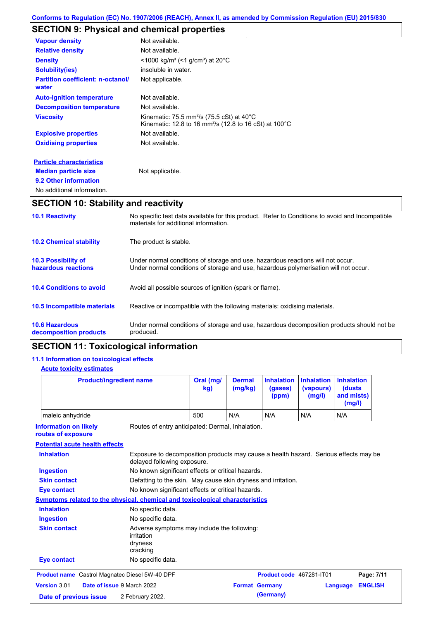# **SECTION 9: Physical and chemical properties**

| <b>Vapour density</b>                             | Not available.                                                                                                                         |
|---------------------------------------------------|----------------------------------------------------------------------------------------------------------------------------------------|
| <b>Relative density</b>                           | Not available.                                                                                                                         |
| <b>Density</b>                                    | $<$ 1000 kg/m <sup>3</sup> (<1 g/cm <sup>3</sup> ) at 20 <sup>°</sup> C                                                                |
| <b>Solubility(ies)</b>                            | insoluble in water.                                                                                                                    |
| <b>Partition coefficient: n-octanol/</b><br>water | Not applicable.                                                                                                                        |
| <b>Auto-ignition temperature</b>                  | Not available.                                                                                                                         |
| <b>Decomposition temperature</b>                  | Not available.                                                                                                                         |
| <b>Viscosity</b>                                  | Kinematic: 75.5 mm <sup>2</sup> /s (75.5 cSt) at 40 $^{\circ}$ C<br>Kinematic: 12.8 to 16 mm <sup>2</sup> /s (12.8 to 16 cSt) at 100°C |
| <b>Explosive properties</b>                       | Not available.                                                                                                                         |
| <b>Oxidising properties</b>                       | Not available.                                                                                                                         |
| <b>Particle characteristics</b>                   |                                                                                                                                        |
| <b>Median particle size</b>                       | Not applicable.                                                                                                                        |
| 9.2 Other information                             |                                                                                                                                        |
| No additional information.                        |                                                                                                                                        |

# **SECTION 10: Stability and reactivity**

| <b>10.1 Reactivity</b>                            | No specific test data available for this product. Refer to Conditions to avoid and Incompatible<br>materials for additional information.                                |
|---------------------------------------------------|-------------------------------------------------------------------------------------------------------------------------------------------------------------------------|
| <b>10.2 Chemical stability</b>                    | The product is stable.                                                                                                                                                  |
| <b>10.3 Possibility of</b><br>hazardous reactions | Under normal conditions of storage and use, hazardous reactions will not occur.<br>Under normal conditions of storage and use, hazardous polymerisation will not occur. |
| <b>10.4 Conditions to avoid</b>                   | Avoid all possible sources of ignition (spark or flame).                                                                                                                |
| <b>10.5 Incompatible materials</b>                | Reactive or incompatible with the following materials: oxidising materials.                                                                                             |
| <b>10.6 Hazardous</b><br>decomposition products   | Under normal conditions of storage and use, hazardous decomposition products should not be<br>produced.                                                                 |

# **SECTION 11: Toxicological information**

## **11.1 Information on toxicological effects**

| <b>Product/ingredient name</b>                                                                         |                                                                                                                     | Oral (mg/<br>kg)                                  | <b>Dermal</b><br>(mg/kg) | <b>Inhalation</b><br>(gases)<br>(ppm) | <b>Inhalation</b><br>(vapours)<br>(mg/l) | <b>Inhalation</b><br>(dusts)<br>and mists)<br>(mg/l) |
|--------------------------------------------------------------------------------------------------------|---------------------------------------------------------------------------------------------------------------------|---------------------------------------------------|--------------------------|---------------------------------------|------------------------------------------|------------------------------------------------------|
| maleic anhydride                                                                                       |                                                                                                                     | 500                                               | N/A                      | N/A                                   | N/A                                      | N/A                                                  |
| <b>Information on likely</b><br>Routes of entry anticipated: Dermal, Inhalation.<br>routes of exposure |                                                                                                                     |                                                   |                          |                                       |                                          |                                                      |
| <b>Potential acute health effects</b>                                                                  |                                                                                                                     |                                                   |                          |                                       |                                          |                                                      |
| <b>Inhalation</b>                                                                                      | Exposure to decomposition products may cause a health hazard. Serious effects may be<br>delayed following exposure. |                                                   |                          |                                       |                                          |                                                      |
| <b>Ingestion</b>                                                                                       |                                                                                                                     | No known significant effects or critical hazards. |                          |                                       |                                          |                                                      |
| <b>Skin contact</b><br>Defatting to the skin. May cause skin dryness and irritation.                   |                                                                                                                     |                                                   |                          |                                       |                                          |                                                      |
| No known significant effects or critical hazards.<br><b>Eye contact</b>                                |                                                                                                                     |                                                   |                          |                                       |                                          |                                                      |
|                                                                                                        | Symptoms related to the physical, chemical and toxicological characteristics                                        |                                                   |                          |                                       |                                          |                                                      |
| <b>Inhalation</b>                                                                                      | No specific data.                                                                                                   |                                                   |                          |                                       |                                          |                                                      |
| <b>Ingestion</b>                                                                                       | No specific data.                                                                                                   |                                                   |                          |                                       |                                          |                                                      |
| <b>Skin contact</b>                                                                                    | Adverse symptoms may include the following:<br>irritation<br>dryness<br>cracking                                    |                                                   |                          |                                       |                                          |                                                      |
| <b>Eye contact</b>                                                                                     | No specific data.                                                                                                   |                                                   |                          |                                       |                                          |                                                      |
| <b>Product name</b> Castrol Magnatec Diesel 5W-40 DPF                                                  |                                                                                                                     |                                                   |                          | Product code 467281-IT01              |                                          | Page: 7/11                                           |
| Version 3.01                                                                                           | Date of issue 9 March 2022                                                                                          |                                                   |                          | <b>Format Germany</b>                 |                                          | <b>ENGLISH</b><br>Language                           |
| 2 February 2022.<br>Date of previous issue                                                             |                                                                                                                     |                                                   |                          | (Germany)                             |                                          |                                                      |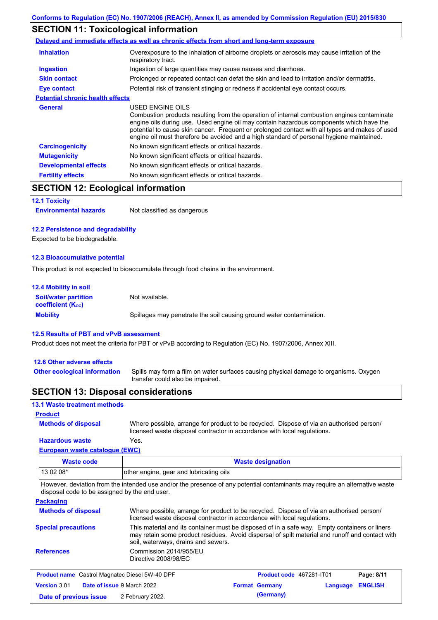# **SECTION 11: Toxicological information**

|                                         | Delayed and immediate effects as well as chronic effects from short and long-term exposure                                                                                                                                                                                                                                                                                                               |
|-----------------------------------------|----------------------------------------------------------------------------------------------------------------------------------------------------------------------------------------------------------------------------------------------------------------------------------------------------------------------------------------------------------------------------------------------------------|
| <b>Inhalation</b>                       | Overexposure to the inhalation of airborne droplets or aerosols may cause irritation of the<br>respiratory tract.                                                                                                                                                                                                                                                                                        |
| <b>Ingestion</b>                        | Ingestion of large quantities may cause nausea and diarrhoea.                                                                                                                                                                                                                                                                                                                                            |
| <b>Skin contact</b>                     | Prolonged or repeated contact can defat the skin and lead to irritation and/or dermatitis.                                                                                                                                                                                                                                                                                                               |
| Eye contact                             | Potential risk of transient stinging or redness if accidental eye contact occurs.                                                                                                                                                                                                                                                                                                                        |
| <b>Potential chronic health effects</b> |                                                                                                                                                                                                                                                                                                                                                                                                          |
| General                                 | USED ENGINE OILS<br>Combustion products resulting from the operation of internal combustion engines contaminate<br>engine oils during use. Used engine oil may contain hazardous components which have the<br>potential to cause skin cancer. Frequent or prolonged contact with all types and makes of used<br>engine oil must therefore be avoided and a high standard of personal hygiene maintained. |
| <b>Carcinogenicity</b>                  | No known significant effects or critical hazards.                                                                                                                                                                                                                                                                                                                                                        |
| <b>Mutagenicity</b>                     | No known significant effects or critical hazards.                                                                                                                                                                                                                                                                                                                                                        |
| <b>Developmental effects</b>            | No known significant effects or critical hazards.                                                                                                                                                                                                                                                                                                                                                        |
| <b>Fertility effects</b>                | No known significant effects or critical hazards.                                                                                                                                                                                                                                                                                                                                                        |

## **SECTION 12: Ecological information**

#### **12.1 Toxicity**

**Environmental hazards** Not classified as dangerous

### **12.2 Persistence and degradability**

Expected to be biodegradable.

### **12.3 Bioaccumulative potential**

This product is not expected to bioaccumulate through food chains in the environment.

| <b>12.4 Mobility in soil</b>                            |                                                                      |
|---------------------------------------------------------|----------------------------------------------------------------------|
| <b>Soil/water partition</b><br><b>coefficient (Koc)</b> | Not available.                                                       |
| <b>Mobility</b>                                         | Spillages may penetrate the soil causing ground water contamination. |

### **12.5 Results of PBT and vPvB assessment**

Product does not meet the criteria for PBT or vPvB according to Regulation (EC) No. 1907/2006, Annex XIII.

### **12.6 Other adverse effects**

Spills may form a film on water surfaces causing physical damage to organisms. Oxygen transfer could also be impaired. **Other ecological information**

### **SECTION 13: Disposal considerations**

#### **13.1 Waste treatment methods**

### **Product**

**Methods of disposal**

Where possible, arrange for product to be recycled. Dispose of via an authorised person/ licensed waste disposal contractor in accordance with local regulations.

### **European waste catalogue (EWC) Hazardous waste** Yes.

| <b>Waste code</b> | <b>Waste designation</b>                |
|-------------------|-----------------------------------------|
| $130208*$         | other engine, gear and lubricating oils |

However, deviation from the intended use and/or the presence of any potential contaminants may require an alternative waste disposal code to be assigned by the end user.

#### **Packaging**

| <b>Methods of disposal</b>                            |                                                | Where possible, arrange for product to be recycled. Dispose of via an authorised person/<br>licensed waste disposal contractor in accordance with local regulations.                             |            |
|-------------------------------------------------------|------------------------------------------------|--------------------------------------------------------------------------------------------------------------------------------------------------------------------------------------------------|------------|
| <b>Special precautions</b>                            | soil, waterways, drains and sewers.            | This material and its container must be disposed of in a safe way. Empty containers or liners<br>may retain some product residues. Avoid dispersal of spilt material and runoff and contact with |            |
| <b>References</b>                                     | Commission 2014/955/EU<br>Directive 2008/98/EC |                                                                                                                                                                                                  |            |
| <b>Product name</b> Castrol Magnatec Diesel 5W-40 DPF |                                                | <b>Product code</b> 467281-IT01                                                                                                                                                                  | Page: 8/11 |

| <b>Product name</b> Castrol Magnatec Diesel 5W-40 DPF    |  | Product code 467281-IT01 |                       | Page: 8/11              |  |  |
|----------------------------------------------------------|--|--------------------------|-----------------------|-------------------------|--|--|
| <b>Date of issue 9 March 2022</b><br><b>Version 3.01</b> |  |                          | <b>Format Germany</b> | <b>Language ENGLISH</b> |  |  |
| Date of previous issue                                   |  | 2 February 2022.         |                       | (Germany)               |  |  |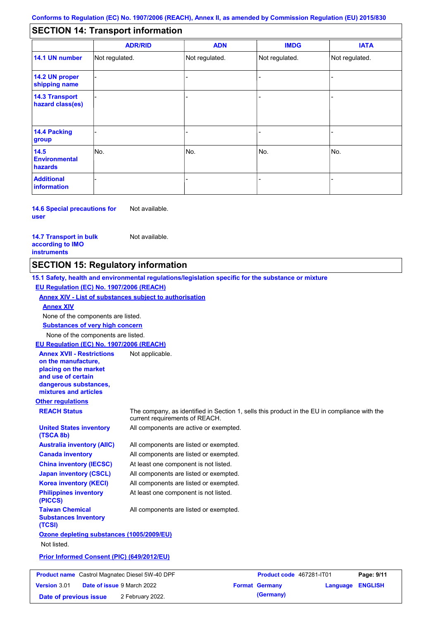#### - - - - - - - - - Not regulated. Not regulated. Not regulated. - - - **SECTION 14: Transport information ADR/RID IMDG IATA 14.1 UN number 14.2 UN proper shipping name 14.3 Transport hazard class(es) 14.4 Packing group ADN Additional information 14.5 Environmental hazards** No. 1980 | No. 1980 | No. 1980 | No. 1980 | No. 1980 | No. 1980 | No. 1980 | No. 1980 | No. 1980 | No. 1980 | Not regulated. - -<br>No. - -

**14.6 Special precautions for user** Not available.

### **14.7 Transport in bulk according to IMO instruments**

**Version** 3.01

Not available.

## **SECTION 15: Regulatory information**

**Other regulations REACH Status** The company, as identified in Section 1, sells this product in the EU in compliance with the current requirements of REACH. **15.1 Safety, health and environmental regulations/legislation specific for the substance or mixture EU Regulation (EC) No. 1907/2006 (REACH) Annex XIV - List of substances subject to authorisation Substances of very high concern** None of the components are listed. All components are listed or exempted. All components are listed or exempted. At least one component is not listed. All components are listed or exempted. All components are active or exempted. All components are listed or exempted. At least one component is not listed. **United States inventory (TSCA 8b) Australia inventory (AIIC) Canada inventory China inventory (IECSC) Japan inventory (CSCL) Korea inventory (KECI) Philippines inventory (PICCS) Taiwan Chemical Substances Inventory (TCSI)** All components are listed or exempted. **Ozone depleting substances (1005/2009/EU)** Not listed. **Prior Informed Consent (PIC) (649/2012/EU)** None of the components are listed. **Annex XIV EU Regulation (EC) No. 1907/2006 (REACH) Annex XVII - Restrictions on the manufacture, placing on the market and use of certain dangerous substances, mixtures and articles** Not applicable. **Product name** Castrol Magnatec Diesel 5W-40 DPF **Product Code 467281-IT01 Page: 9/11** 

**Date of issue** 9 March 2022 **Format Germany Language ENGLISH Date of previous issue** 2 February 2022.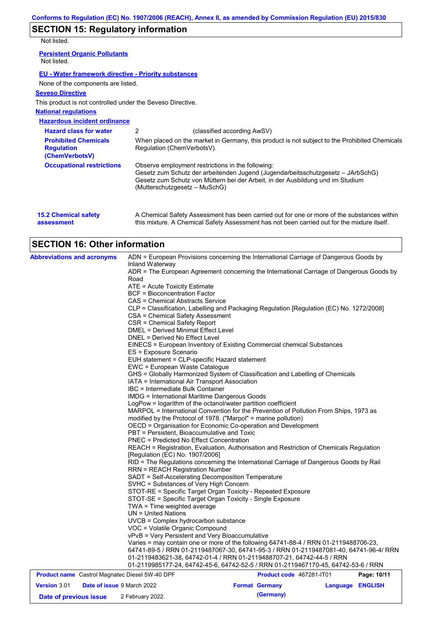# **SECTION 15: Regulatory information**

Not listed.

| IVUL IISLCU.                                                       |                               |                                                                                                                                                                                                                        |
|--------------------------------------------------------------------|-------------------------------|------------------------------------------------------------------------------------------------------------------------------------------------------------------------------------------------------------------------|
| <b>Persistent Organic Pollutants</b><br>Not listed.                |                               |                                                                                                                                                                                                                        |
| EU - Water framework directive - Priority substances               |                               |                                                                                                                                                                                                                        |
| None of the components are listed.                                 |                               |                                                                                                                                                                                                                        |
| <b>Seveso Directive</b>                                            |                               |                                                                                                                                                                                                                        |
| This product is not controlled under the Seveso Directive.         |                               |                                                                                                                                                                                                                        |
| <b>National regulations</b>                                        |                               |                                                                                                                                                                                                                        |
| <b>Hazardous incident ordinance</b>                                |                               |                                                                                                                                                                                                                        |
| <b>Hazard class for water</b>                                      | 2                             | (classified according AwSV)                                                                                                                                                                                            |
| <b>Prohibited Chemicals</b><br><b>Regulation</b><br>(ChemVerbotsV) | Regulation (ChemVerbotsV).    | When placed on the market in Germany, this product is not subject to the Prohibited Chemicals                                                                                                                          |
| <b>Occupational restrictions</b>                                   | (Mutterschutzgesetz – MuSchG) | Observe employment restrictions in the following:<br>Gesetz zum Schutz der arbeitenden Jugend (Jugendarbeitsschutzgesetz – JArbSchG)<br>Gesetz zum Schutz von Müttern bei der Arbeit, in der Ausbildung und im Studium |
|                                                                    |                               |                                                                                                                                                                                                                        |

| <b>15.2 Chemical safety</b> | A Chemical Safety Assessment has been carried out for one or more of the substances within  |
|-----------------------------|---------------------------------------------------------------------------------------------|
| assessment                  | this mixture. A Chemical Safety Assessment has not been carried out for the mixture itself. |

# **SECTION 16: Other information**

| <b>Abbreviations and acronyms</b>                                                                          | ADN = European Provisions concerning the International Carriage of Dangerous Goods by                                                                                         |                                                   |                  |             |  |  |
|------------------------------------------------------------------------------------------------------------|-------------------------------------------------------------------------------------------------------------------------------------------------------------------------------|---------------------------------------------------|------------------|-------------|--|--|
|                                                                                                            | Inland Waterway<br>ADR = The European Agreement concerning the International Carriage of Dangerous Goods by                                                                   |                                                   |                  |             |  |  |
|                                                                                                            | Road                                                                                                                                                                          |                                                   |                  |             |  |  |
|                                                                                                            | ATE = Acute Toxicity Estimate                                                                                                                                                 |                                                   |                  |             |  |  |
|                                                                                                            | <b>BCF</b> = Bioconcentration Factor                                                                                                                                          |                                                   |                  |             |  |  |
|                                                                                                            | CAS = Chemical Abstracts Service                                                                                                                                              |                                                   |                  |             |  |  |
|                                                                                                            | CLP = Classification, Labelling and Packaging Regulation [Regulation (EC) No. 1272/2008]                                                                                      |                                                   |                  |             |  |  |
|                                                                                                            | CSA = Chemical Safety Assessment                                                                                                                                              |                                                   |                  |             |  |  |
|                                                                                                            | CSR = Chemical Safety Report                                                                                                                                                  |                                                   |                  |             |  |  |
|                                                                                                            | <b>DMEL = Derived Minimal Effect Level</b>                                                                                                                                    |                                                   |                  |             |  |  |
|                                                                                                            | DNEL = Derived No Effect Level                                                                                                                                                |                                                   |                  |             |  |  |
|                                                                                                            | EINECS = European Inventory of Existing Commercial chemical Substances                                                                                                        |                                                   |                  |             |  |  |
|                                                                                                            | ES = Exposure Scenario                                                                                                                                                        |                                                   |                  |             |  |  |
|                                                                                                            | EUH statement = CLP-specific Hazard statement                                                                                                                                 |                                                   |                  |             |  |  |
|                                                                                                            | EWC = European Waste Catalogue<br>GHS = Globally Harmonized System of Classification and Labelling of Chemicals                                                               |                                                   |                  |             |  |  |
|                                                                                                            |                                                                                                                                                                               |                                                   |                  |             |  |  |
|                                                                                                            | IATA = International Air Transport Association<br>IBC = Intermediate Bulk Container                                                                                           |                                                   |                  |             |  |  |
|                                                                                                            | <b>IMDG</b> = International Maritime Dangerous Goods                                                                                                                          |                                                   |                  |             |  |  |
|                                                                                                            | LogPow = logarithm of the octanol/water partition coefficient                                                                                                                 |                                                   |                  |             |  |  |
|                                                                                                            | MARPOL = International Convention for the Prevention of Pollution From Ships, 1973 as                                                                                         |                                                   |                  |             |  |  |
|                                                                                                            | modified by the Protocol of 1978. ("Marpol" = marine pollution)                                                                                                               |                                                   |                  |             |  |  |
|                                                                                                            | OECD = Organisation for Economic Co-operation and Development                                                                                                                 |                                                   |                  |             |  |  |
|                                                                                                            | PBT = Persistent, Bioaccumulative and Toxic                                                                                                                                   |                                                   |                  |             |  |  |
|                                                                                                            | <b>PNEC = Predicted No Effect Concentration</b>                                                                                                                               |                                                   |                  |             |  |  |
|                                                                                                            | REACH = Registration, Evaluation, Authorisation and Restriction of Chemicals Regulation                                                                                       |                                                   |                  |             |  |  |
|                                                                                                            | [Regulation (EC) No. 1907/2006]                                                                                                                                               |                                                   |                  |             |  |  |
|                                                                                                            | RID = The Regulations concerning the International Carriage of Dangerous Goods by Rail<br><b>RRN = REACH Registration Number</b>                                              |                                                   |                  |             |  |  |
|                                                                                                            |                                                                                                                                                                               |                                                   |                  |             |  |  |
|                                                                                                            | SADT = Self-Accelerating Decomposition Temperature                                                                                                                            |                                                   |                  |             |  |  |
|                                                                                                            | SVHC = Substances of Very High Concern                                                                                                                                        |                                                   |                  |             |  |  |
|                                                                                                            | STOT-RE = Specific Target Organ Toxicity - Repeated Exposure                                                                                                                  |                                                   |                  |             |  |  |
|                                                                                                            | STOT-SE = Specific Target Organ Toxicity - Single Exposure                                                                                                                    |                                                   |                  |             |  |  |
|                                                                                                            | TWA = Time weighted average                                                                                                                                                   |                                                   |                  |             |  |  |
|                                                                                                            | $UN = United Nations$                                                                                                                                                         |                                                   |                  |             |  |  |
|                                                                                                            | UVCB = Complex hydrocarbon substance                                                                                                                                          |                                                   |                  |             |  |  |
|                                                                                                            | VOC = Volatile Organic Compound                                                                                                                                               |                                                   |                  |             |  |  |
|                                                                                                            | vPvB = Very Persistent and Very Bioaccumulative                                                                                                                               |                                                   |                  |             |  |  |
|                                                                                                            | Varies = may contain one or more of the following 64741-88-4 / RRN 01-2119488706-23,<br>64741-89-5 / RRN 01-2119487067-30, 64741-95-3 / RRN 01-2119487081-40, 64741-96-4/ RRN |                                                   |                  |             |  |  |
|                                                                                                            |                                                                                                                                                                               |                                                   |                  |             |  |  |
|                                                                                                            |                                                                                                                                                                               |                                                   |                  |             |  |  |
|                                                                                                            | 01-2119483621-38, 64742-01-4 / RRN 01-2119488707-21, 64742-44-5 / RRN                                                                                                         |                                                   |                  |             |  |  |
|                                                                                                            | 01-2119985177-24, 64742-45-6, 64742-52-5 / RRN 01-2119467170-45, 64742-53-6 / RRN                                                                                             |                                                   |                  |             |  |  |
| <b>Product name</b> Castrol Magnatec Diesel 5W-40 DPF<br>Date of issue 9 March 2022<br><b>Version 3.01</b> |                                                                                                                                                                               | Product code 467281-IT01<br><b>Format Germany</b> | Language ENGLISH | Page: 10/11 |  |  |